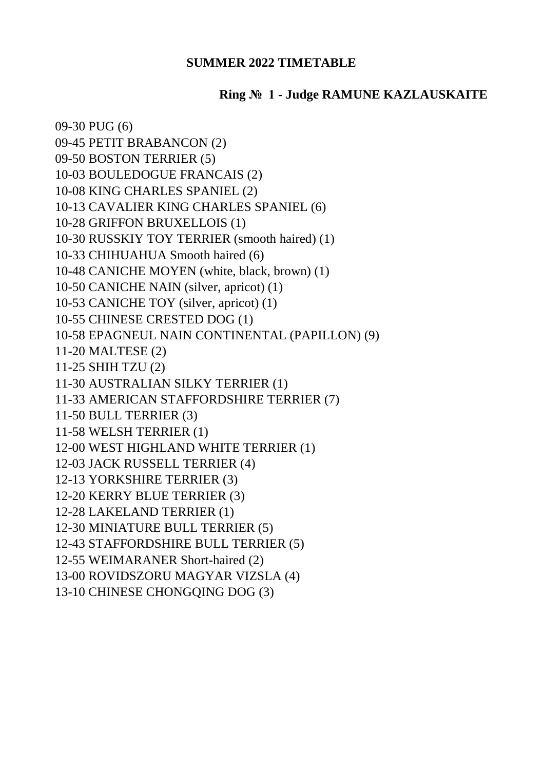## **SUMMER 2022 TIMETABLE**

## **Ring № 1 - Judge RAMUNE KAZLAUSKAITE**

| 09-30 PUG (6)                                  |
|------------------------------------------------|
| 09-45 PETIT BRABANCON (2)                      |
| 09-50 BOSTON TERRIER (5)                       |
| 10-03 BOULEDOGUE FRANCAIS (2)                  |
| 10-08 KING CHARLES SPANIEL (2)                 |
| 10-13 CAVALIER KING CHARLES SPANIEL (6)        |
| 10-28 GRIFFON BRUXELLOIS (1)                   |
| 10-30 RUSSKIY TOY TERRIER (smooth haired) (1)  |
| 10-33 CHIHUAHUA Smooth haired (6)              |
| 10-48 CANICHE MOYEN (white, black, brown) (1)  |
| 10-50 CANICHE NAIN (silver, apricot) (1)       |
| 10-53 CANICHE TOY (silver, apricot) (1)        |
| 10-55 CHINESE CRESTED DOG (1)                  |
| 10-58 EPAGNEUL NAIN CONTINENTAL (PAPILLON) (9) |
| 11-20 MALTESE (2)                              |
| 11-25 SHIH TZU (2)                             |
| 11-30 AUSTRALIAN SILKY TERRIER (1)             |
| 11-33 AMERICAN STAFFORDSHIRE TERRIER (7)       |
| 11-50 BULL TERRIER (3)                         |
| 11-58 WELSH TERRIER (1)                        |
| 12-00 WEST HIGHLAND WHITE TERRIER (1)          |
| 12-03 JACK RUSSELL TERRIER (4)                 |
| 12-13 YORKSHIRE TERRIER (3)                    |
| 12-20 KERRY BLUE TERRIER (3)                   |
| 12-28 LAKELAND TERRIER (1)                     |
| 12-30 MINIATURE BULL TERRIER (5)               |
| 12-43 STAFFORDSHIRE BULL TERRIER (5)           |
| 12-55 WEIMARANER Short-haired (2)              |
| 13-00 ROVIDSZORU MAGYAR VIZSLA (4)             |
|                                                |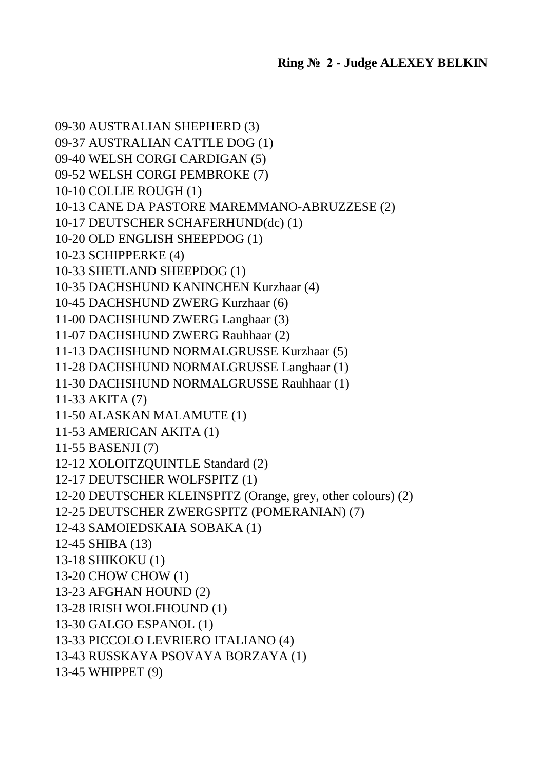09-30 AUSTRALIAN SHEPHERD (3) 09-37 AUSTRALIAN CATTLE DOG (1) 09-40 WELSH CORGI CARDIGAN (5) 09-52 WELSH CORGI PEMBROKE (7) 10-10 COLLIE ROUGH (1) 10-13 CANE DA PASTORE MAREMMANO-ABRUZZESE (2) 10-17 DEUTSCHER SCHAFERHUND(dc) (1) 10-20 OLD ENGLISH SHEEPDOG (1) 10-23 SCHIPPERKE (4) 10-33 SHETLAND SHEEPDOG (1) 10-35 DACHSHUND KANINCHEN Kurzhaar (4) 10-45 DACHSHUND ZWERG Kurzhaar (6) 11-00 DACHSHUND ZWERG Langhaar (3) 11-07 DACHSHUND ZWERG Rauhhaar (2) 11-13 DACHSHUND NORMALGRUSSE Kurzhaar (5) 11-28 DACHSHUND NORMALGRUSSE Langhaar (1) 11-30 DACHSHUND NORMALGRUSSE Rauhhaar (1) 11-33 AKITA (7) 11-50 ALASKAN MALAMUTE (1) 11-53 AMERICAN AKITA (1) 11-55 BASENJI (7) 12-12 XOLOITZQUINTLE Standard (2) 12-17 DEUTSCHER WOLFSPITZ (1) 12-20 DEUTSCHER KLEINSPITZ (Orange, grey, other colours) (2) 12-25 DEUTSCHER ZWERGSPITZ (POMERANIAN) (7) 12-43 SAMOIEDSKAIA SOBAKA (1) 12-45 SHIBA (13) 13-18 SHIKOKU (1) 13-20 CHOW CHOW (1) 13-23 AFGHAN HOUND (2) 13-28 IRISH WOLFHOUND (1) 13-30 GALGO ESPANOL (1) 13-33 PICCOLO LEVRIERO ITALIANO (4) 13-43 RUSSKAYA PSOVAYA BORZAYA (1) 13-45 WHIPPET (9)